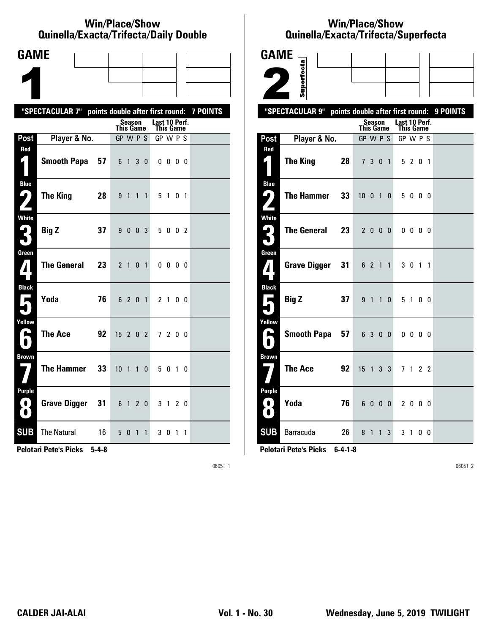#### **Win/Place/Show Quinella/Exacta/Trifecta/Daily Double**

| <b>GAME</b>                                           |                                                           |                  |         |                |              |                                   |              |                |   |  |
|-------------------------------------------------------|-----------------------------------------------------------|------------------|---------|----------------|--------------|-----------------------------------|--------------|----------------|---|--|
|                                                       |                                                           |                  |         |                |              |                                   |              |                |   |  |
|                                                       |                                                           |                  |         |                |              |                                   |              |                |   |  |
|                                                       | "SPECTACULAR 7" points double after first round: 7 POINTS |                  |         |                |              |                                   |              |                |   |  |
|                                                       |                                                           | <b>This Game</b> | Season  |                |              | Last 10 Perf.<br><b>This Game</b> |              |                |   |  |
| Post                                                  | Player & No.                                              | GP W P S         |         |                |              | GP W P S                          |              |                |   |  |
| Red<br>1                                              | <b>Smooth Papa</b><br>57                                  |                  | 6 1     | 3 <sup>1</sup> | 0            |                                   | $0\,0\,0\,0$ |                |   |  |
| <b>Blue</b><br>7<br>$\overline{\phantom{a}}$          | <b>The King</b><br>28                                     | 9 <sub>1</sub>   |         | $\overline{1}$ | $\mathbf{1}$ |                                   | 51           | 0 <sub>1</sub> |   |  |
| <b>White</b><br>3                                     | <b>Big Z</b><br>37                                        |                  | 9 0 0 3 |                |              |                                   | 5 0 0 2      |                |   |  |
| Green<br>$\boldsymbol{I}$                             | <b>The General</b><br>23                                  |                  | 2 1 0 1 |                |              |                                   | $0\,0\,0\,0$ |                |   |  |
| <b>Black</b><br>$\overline{\phantom{a}}$              | Yoda<br>76                                                |                  | 6 2 0 1 |                |              |                                   | 2 1 0 0      |                |   |  |
| Yellow<br>$\blacktriangleright$                       | <b>The Ace</b><br>92                                      | $15$ 2 0 2       |         |                |              |                                   | 7 2 0 0      |                |   |  |
| <b>Brown</b>                                          | <b>The Hammer</b><br>33                                   | 10 <sub>1</sub>  |         | $\overline{1}$ | 0            |                                   | 5 0 1 0      |                |   |  |
| <b>Purple</b><br>$\bf{O}$<br>$\overline{\phantom{a}}$ | <b>Grave Digger</b><br>31                                 | 6 1 2 0          |         |                |              |                                   | 3 1 2 0      |                |   |  |
| <b>SUB</b>                                            | <b>The Natural</b><br>16                                  | 5 0              |         | $\overline{1}$ | $\mathbf{1}$ |                                   | 30           | $\overline{1}$ | 1 |  |

**Pelotari Pete's Picks 5-4-8**

0605T 1

## **Win/Place/Show Qui nel la/Exacta/Tri fecta/Super fecta**



**Pelotari Pete's Picks 6-4-1-8**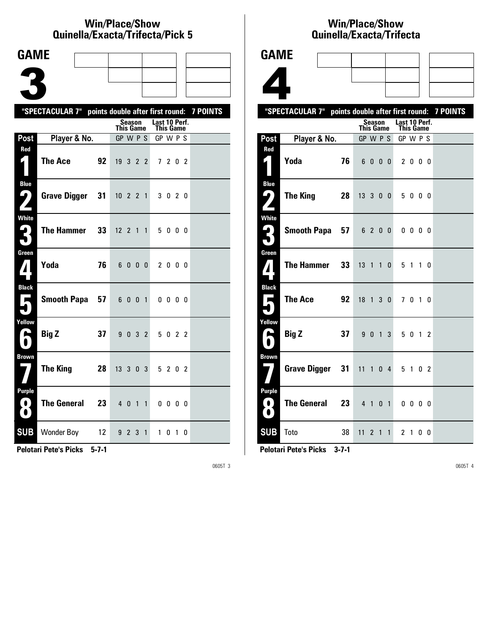#### **Win/Place/Show Quinella/Exacta/Trifecta/Pick 5**

| <b>GAME</b>                                  |                                                           |    |                              |                  |           |                |                       |              |  |  |
|----------------------------------------------|-----------------------------------------------------------|----|------------------------------|------------------|-----------|----------------|-----------------------|--------------|--|--|
|                                              |                                                           |    |                              |                  |           |                |                       |              |  |  |
|                                              |                                                           |    |                              |                  |           |                |                       |              |  |  |
|                                              |                                                           |    |                              |                  |           |                |                       |              |  |  |
|                                              | "SPECTACULAR 7" points double after first round: 7 POINTS |    |                              | Season           |           |                | Last 10 Perf.         |              |  |  |
| Post                                         | Player & No.                                              |    | <b>This Game</b><br>GP W P S |                  |           |                | This Game<br>GP W P S |              |  |  |
| Red                                          |                                                           |    |                              |                  |           |                |                       |              |  |  |
| $\boldsymbol{\zeta}$ )                       | <b>The Ace</b>                                            | 92 | 19322                        |                  |           |                |                       | 7 2 0 2      |  |  |
| <b>Blue</b><br><u>( ما</u>                   | <b>Grave Digger</b>                                       | 31 | $10 \t2 \t2 \t1$             |                  |           |                |                       | 3 0 2 0      |  |  |
| <b>White</b><br>2<br>$\qquad \qquad \bullet$ | <b>The Hammer</b>                                         | 33 | $12$ 2 1 1                   |                  |           |                |                       | 5000         |  |  |
| Green<br>$\boldsymbol{I}$                    | Yoda                                                      | 76 |                              | 6000             |           |                |                       | 2000         |  |  |
| <b>Black</b><br>$\blacksquare$               | <b>Smooth Papa</b>                                        | 57 |                              | 6 0 0 1          |           |                |                       | $0\,0\,0\,0$ |  |  |
| Yellow<br>е                                  | <b>Big Z</b>                                              | 37 | 9                            | 0 <sub>3</sub> 2 |           |                |                       | 5 0 2 2      |  |  |
| <b>Brown</b>                                 | <b>The King</b>                                           | 28 | 13 <sup>13</sup>             | 3                |           | 0 <sup>3</sup> |                       | 5 2 0 2      |  |  |
| Purple<br>O<br>$\bullet$                     | <b>The General</b>                                        | 23 | $4\quad0$                    |                  | $1\quad1$ |                |                       | $0\,0\,0\,0$ |  |  |
| <b>SUB</b>                                   | Wonder Boy 12                                             |    |                              | 9 2 3            |           | $\mathbf{1}$   |                       | 1 0 1 0      |  |  |

**Pelotari Pete's Picks 5-7-1**

0605T 3

#### **Win/Place/Show Qui nel la/Exacta/Tri fecta**



**Pelotari Pete's Picks 3-7-1**

**SUB** Toto 38 11 2 1 1 2 1 0 0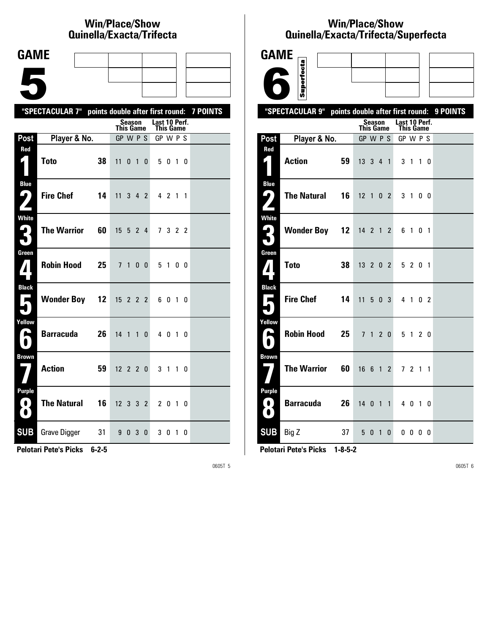## **Win/Place/Show Qui nel la/Exacta/Tri fecta**

| <b>GAME</b>                   |                                                           |    |                      |                     |                |              |                                   |         |                |   |  |
|-------------------------------|-----------------------------------------------------------|----|----------------------|---------------------|----------------|--------------|-----------------------------------|---------|----------------|---|--|
|                               |                                                           |    |                      |                     |                |              |                                   |         |                |   |  |
|                               |                                                           |    |                      |                     |                |              |                                   |         |                |   |  |
|                               | "SPECTACULAR 7" points double after first round: 7 POINTS |    |                      |                     |                |              |                                   |         |                |   |  |
|                               |                                                           |    | <b>This Game</b>     | Season              |                |              | Last 10 Perf.<br><b>This Game</b> |         |                |   |  |
| Post                          | Player & No.                                              |    | GP W P S             |                     |                |              | GP W P S                          |         |                |   |  |
| Red<br>$\mathbf{I}$ )         | <b>Toto</b>                                               | 38 | 11                   | 0 <sub>1</sub>      |                | 0            |                                   | 5 0 1 0 |                |   |  |
| <b>Blue</b><br>5              | <b>Fire Chef</b>                                          | 14 | 11                   | $3 \quad 4 \quad 2$ |                |              |                                   | 4 2 1 1 |                |   |  |
| White<br>3                    | <b>The Warrior</b>                                        | 60 | 15 5 2 4             |                     |                |              |                                   | 7 3 2 2 |                |   |  |
| Green<br>$\mathbf{Z}$         | <b>Robin Hood</b>                                         | 25 |                      | 7 <sub>1</sub>      | 0 <sub>0</sub> |              |                                   | 5 1 0 0 |                |   |  |
| <b>Black</b><br>$\mathbf{r}$  | <b>Wonder Boy 12</b>                                      |    | 15 2 2 2             |                     |                |              |                                   | 6010    |                |   |  |
| Yellow<br>Α                   | <b>Barracuda</b>                                          | 26 | $14 \quad 1 \quad 1$ |                     |                | $\mathbf{0}$ |                                   | 4 0 1 0 |                |   |  |
| <b>Brown</b>                  | <b>Action</b>                                             | 59 | $12$ 2 2 0           |                     |                |              |                                   | 3 1 1 0 |                |   |  |
| <b>Purple</b><br>$\bf O$<br>O | <b>The Natural</b>                                        | 16 | $12$ 3 3 2           |                     |                |              |                                   | 2 0 1 0 |                |   |  |
| <b>SUB</b>                    | <b>Grave Digger</b>                                       | 31 |                      | 9 0 3               |                | 0            |                                   | 30      | $\overline{1}$ | 0 |  |

**Pelotari Pete's Picks 6-2-5**

0605T 5

## **Win/Place/Show Qui nel la/Exacta/Tri fecta/Super fecta**

| <b>GAME</b>                              |                                                  |                                   |                                   |          |
|------------------------------------------|--------------------------------------------------|-----------------------------------|-----------------------------------|----------|
|                                          | Superfecta                                       |                                   |                                   |          |
|                                          |                                                  |                                   |                                   |          |
|                                          | "SPECTACULAR 9" points double after first round: |                                   |                                   | 9 POINTS |
|                                          |                                                  | <b>Season</b><br><b>This Game</b> | Last 10 Perf.<br><b>This Game</b> |          |
| Post                                     | Player & No.                                     | GP W P S                          | GP W P S                          |          |
| Red<br>4                                 | <b>Action</b><br>59                              | $13 \t3 \t4 \t1$                  | 3 <sub>1</sub><br>$1\quad0$       |          |
| Blue<br>$\mathbf{\Omega}$                | <b>The Natural</b><br>16                         | $12 \t1 \t0 \t2$                  | 3 1 0 0                           |          |
| <b>White</b><br>5                        | <b>Wonder Boy 12</b>                             | 14 2 1 2                          | 6 1 0 1                           |          |
| Green<br>$\boldsymbol{\varLambda}$       | <b>Toto</b><br>38                                | $13 \t2 \t0 \t2$                  | 5 2 0 1                           |          |
| <b>Black</b><br>$\overline{\phantom{a}}$ | <b>Fire Chef</b><br>14                           | 11<br>5 0 3                       | 4 1 0 2                           |          |
| Yellow<br>$\bullet$<br>0                 | Robin Hood 25                                    | 7 1 2 0                           | 5 1 2 0                           |          |
| <b>Brown</b>                             | <b>The Warrior</b><br>60                         | 16 6 1 2                          | 7 2 1 1                           |          |
| <b>Purple</b><br>0.<br>$\bullet$         | 26<br>Barracuda                                  | 14011                             | 4 0 1 0                           |          |
| <b>SUB</b>                               | Big Z<br>37                                      | 5 0 1 0                           | $0\,0\,0\,0$                      |          |

**Pelotari Pete's Picks 1-8-5-2**